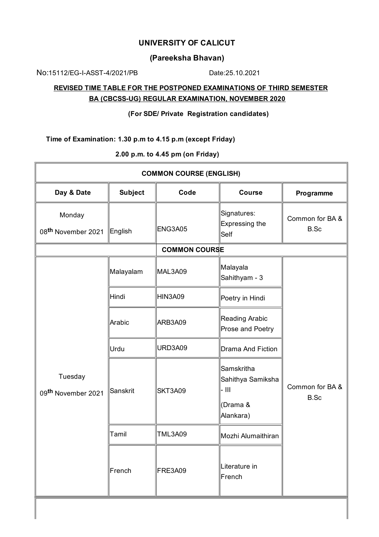## **UNIVERSITY OF CALICUT**

## **(Pareeksha Bhavan)**

No:15112/EG-I-ASST-4/2021/PB Date:25.10.2021

## **REVISED TIME TABLE FOR THE POSTPONED EXAMINATIONS OF THIRD SEMESTER BA (CBCSS-UG) REGULAR EXAMINATION, NOVEMBER 2020**

**(For SDE/ Private Registration candidates)**

**Time of Examination: 1.30 p.m to 4.15 p.m (except Friday)**

**2.00 p.m. to 4.45 pm (on Friday)**

| <b>COMMON COURSE (ENGLISH)</b>            |                |                |                                                                   |                         |  |  |  |
|-------------------------------------------|----------------|----------------|-------------------------------------------------------------------|-------------------------|--|--|--|
| Day & Date                                | <b>Subject</b> | Code           | <b>Course</b>                                                     | Programme               |  |  |  |
| Monday<br>08 <sup>th</sup> November 2021  | English        | ENG3A05        | Signatures:<br>Expressing the<br>Self                             | Common for BA &<br>B.Sc |  |  |  |
| <b>COMMON COURSE</b>                      |                |                |                                                                   |                         |  |  |  |
| Tuesday<br>09 <sup>th</sup> November 2021 | Malayalam      | MAL3A09        | Malayala<br>Sahithyam - 3                                         |                         |  |  |  |
|                                           | Hindi          | HIN3A09        | Poetry in Hindi                                                   |                         |  |  |  |
|                                           | Arabic         | ARB3A09        | Reading Arabic<br>Prose and Poetry                                |                         |  |  |  |
|                                           | Urdu           | URD3A09        | Drama And Fiction                                                 |                         |  |  |  |
|                                           | Sanskrit       | SKT3A09        | Samskritha<br>Sahithya Samiksha<br>- 111<br>(Drama &<br>Alankara) | Common for BA &<br>B.Sc |  |  |  |
|                                           | Tamil          | <b>TML3A09</b> | Mozhi Alumaithiran                                                |                         |  |  |  |
|                                           | French         | FRE3A09        | Literature in<br>French                                           |                         |  |  |  |
|                                           |                |                |                                                                   |                         |  |  |  |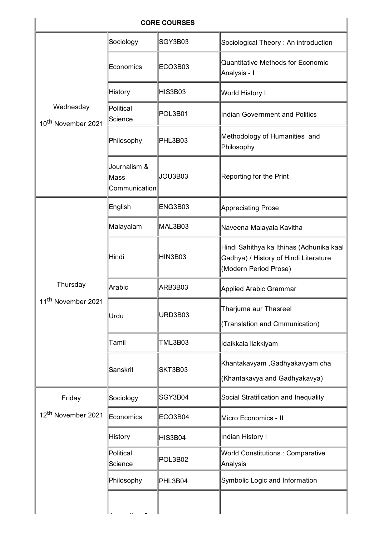| <b>CORE COURSES</b>                         |                                       |         |                                                                                                            |  |  |  |
|---------------------------------------------|---------------------------------------|---------|------------------------------------------------------------------------------------------------------------|--|--|--|
| Wednesday<br>10 <sup>th</sup> November 2021 | Sociology                             | SGY3B03 | Sociological Theory: An introduction                                                                       |  |  |  |
|                                             | Economics                             | ECO3B03 | Quantitative Methods for Economic<br>Analysis - I                                                          |  |  |  |
|                                             | History                               | HIS3B03 | World History I                                                                                            |  |  |  |
|                                             | Political<br>Science                  | POL3B01 | Indian Government and Politics                                                                             |  |  |  |
|                                             | Philosophy                            | PHL3B03 | Methodology of Humanities and<br>Philosophy                                                                |  |  |  |
|                                             | Journalism &<br>Mass<br>Communication | JOU3B03 | Reporting for the Print                                                                                    |  |  |  |
|                                             | English                               | ENG3B03 | Appreciating Prose                                                                                         |  |  |  |
|                                             | Malayalam                             | MAL3B03 | Naveena Malayala Kavitha                                                                                   |  |  |  |
|                                             | Hindi                                 | HIN3B03 | Hindi Sahithya ka Ithihas (Adhunika kaal<br>Gadhya) / History of Hindi Literature<br>(Modern Period Prose) |  |  |  |
| Thursday                                    | Arabic                                | ARB3B03 | Applied Arabic Grammar                                                                                     |  |  |  |
| 11 <sup>th</sup> November 2021              | Urdu                                  | URD3B03 | Tharjuma aur Thasreel<br>(Translation and Cmmunication)                                                    |  |  |  |
|                                             | Tamil                                 | TML3B03 | Idaikkala llakkiyam                                                                                        |  |  |  |
|                                             | Sanskrit                              | SKT3B03 | Khantakavyam ,Gadhyakavyam cha<br>(Khantakavya and Gadhyakavya)                                            |  |  |  |
| Friday                                      | Sociology                             | SGY3B04 | Social Stratification and Inequality                                                                       |  |  |  |
| 12 <sup>th</sup> November 2021              | Economics                             | ECO3B04 | Micro Economics - II                                                                                       |  |  |  |
|                                             | <b>History</b>                        | HIS3B04 | Indian History I                                                                                           |  |  |  |
|                                             | Political<br>Science                  | POL3B02 | <b>World Constitutions: Comparative</b><br>Analysis                                                        |  |  |  |
|                                             | Philosophy                            | PHL3B04 | Symbolic Logic and Information                                                                             |  |  |  |
|                                             |                                       |         |                                                                                                            |  |  |  |